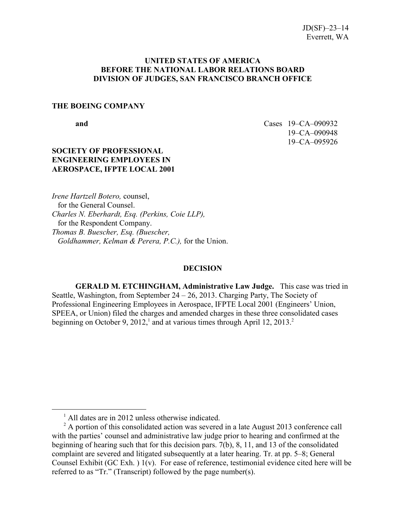### **UNITED STATES OF AMERICA BEFORE THE NATIONAL LABOR RELATIONS BOARD DIVISION OF JUDGES, SAN FRANCISCO BRANCH OFFICE**

#### **THE BOEING COMPANY**

<span id="page-0-0"></span> $\overline{a}$ 

**and** Cases 19–CA–090932 19–CA–090948 19–CA–095926

## **SOCIETY OF PROFESSIONAL ENGINEERING EMPLOYEES IN AEROSPACE, IFPTE LOCAL 2001**

*Irene Hartzell Botero,* counsel, for the General Counsel. *Charles N. Eberhardt, Esq. (Perkins, Coie LLP),* for the Respondent Company. *Thomas B. Buescher, Esq. (Buescher, Goldhammer, Kelman & Perera, P.C.),* for the Union.

#### **DECISION**

**GERALD M. ETCHINGHAM, Administrative Law Judge.** This case was tried in Seattle, Washington, from September  $24 - 26$ , 2013. Charging Party, The Society of Professional Engineering Employees in Aerospace, IFPTE Local 2001 (Engineers' Union, SPEEA, or Union) filed the charges and amended charges in these three consolidated cases beginning on October 9, 20[1](#page-0-0)[2](#page-0-1),<sup>1</sup> and at various times through April 12, 2013.<sup>2</sup>

<sup>&</sup>lt;sup>1</sup> All dates are in 2012 unless otherwise indicated.

<span id="page-0-1"></span> $2^2$  A portion of this consolidated action was severed in a late August 2013 conference call with the parties' counsel and administrative law judge prior to hearing and confirmed at the beginning of hearing such that for this decision pars. 7(b), 8, 11, and 13 of the consolidated complaint are severed and litigated subsequently at a later hearing. Tr. at pp. 5–8; General Counsel Exhibit (GC Exh. ) 1(v). For ease of reference, testimonial evidence cited here will be referred to as "Tr." (Transcript) followed by the page number(s).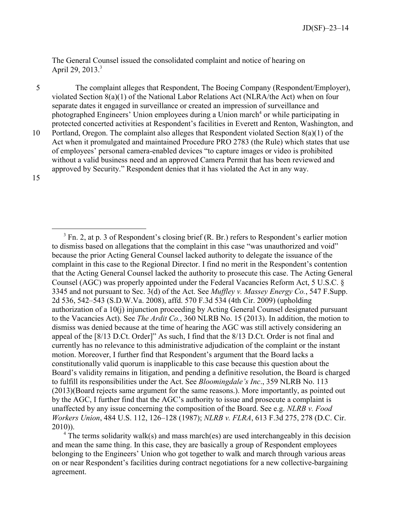The General Counsel issued the consolidated complaint and notice of hearing on April 29, 201[3](#page-1-0).<sup>3</sup>

5 The complaint alleges that Respondent, The Boeing Company (Respondent/Employer), violated Section 8(a)(1) of the National Labor Relations Act (NLRA/the Act) when on four separate dates it engaged in surveillance or created an impression of surveillance and photographed Engineers' Union employees during a Union march<sup>[4](#page-1-1)</sup> or while participating in protected concerted activities at Respondent's facilities in Everett and Renton, Washington, and

10 Portland, Oregon. The complaint also alleges that Respondent violated Section 8(a)(1) of the Act when it promulgated and maintained Procedure PRO 2783 (the Rule) which states that use of employees' personal camera-enabled devices "to capture images or video is prohibited without a valid business need and an approved Camera Permit that has been reviewed and approved by Security." Respondent denies that it has violated the Act in any way.

15

 $\overline{a}$ 

<span id="page-1-0"></span> $3$  Fn. 2, at p. 3 of Respondent's closing brief (R. Br.) refers to Respondent's earlier motion to dismiss based on allegations that the complaint in this case "was unauthorized and void" because the prior Acting General Counsel lacked authority to delegate the issuance of the complaint in this case to the Regional Director. I find no merit in the Respondent's contention that the Acting General Counsel lacked the authority to prosecute this case. The Acting General Counsel (AGC) was properly appointed under the Federal Vacancies Reform Act, 5 U.S.C. § 3345 and not pursuant to Sec. 3(d) of the Act. See *Muffley v. Massey Energy Co.*, 547 F.Supp. 2d 536, 542–543 (S.D.W.Va. 2008), affd. 570 F.3d 534 (4th Cir. 2009) (upholding authorization of a 10(j) injunction proceeding by Acting General Counsel designated pursuant to the Vacancies Act). See *The Ardit Co.*, 360 NLRB No. 15 (2013). In addition, the motion to dismiss was denied because at the time of hearing the AGC was still actively considering an appeal of the [8/13 D.Ct. Order]" As such, I find that the 8/13 D.Ct. Order is not final and currently has no relevance to this administrative adjudication of the complaint or the instant motion. Moreover, I further find that Respondent's argument that the Board lacks a constitutionally valid quorum is inapplicable to this case because this question about the Board's validity remains in litigation, and pending a definitive resolution, the Board is charged to fulfill its responsibilities under the Act. See *Bloomingdale's Inc*., 359 NLRB No. 113 (2013)(Board rejects same argument for the same reasons.). More importantly, as pointed out by the AGC, I further find that the AGC's authority to issue and prosecute a complaint is unaffected by any issue concerning the composition of the Board. See e.g. *NLRB v. Food Workers Union*, 484 U.S. 112, 126–128 (1987); *NLRB v. FLRA*, 613 F.3d 275, 278 (D.C. Cir. 2010)).

<span id="page-1-1"></span><sup>&</sup>lt;sup>4</sup> The terms solidarity walk(s) and mass march(es) are used interchangeably in this decision and mean the same thing. In this case, they are basically a group of Respondent employees belonging to the Engineers' Union who got together to walk and march through various areas on or near Respondent's facilities during contract negotiations for a new collective-bargaining agreement.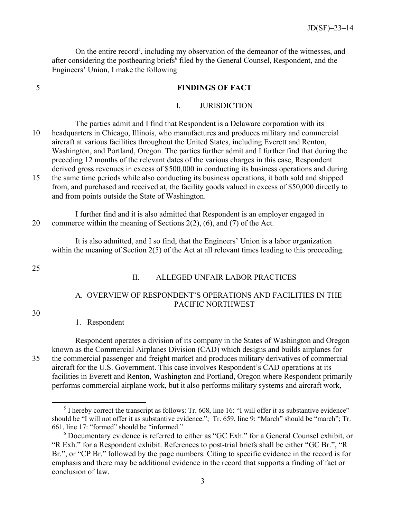On the entire record<sup>[5](#page-2-0)</sup>, including my observation of the demeanor of the witnesses, and after considering the posthearing briefs<sup>[6](#page-2-1)</sup> filed by the General Counsel, Respondent, and the Engineers' Union, I make the following

#### 5 **FINDINGS OF FACT**

#### I. JURISDICTION

The parties admit and I find that Respondent is a Delaware corporation with its 10 headquarters in Chicago, Illinois, who manufactures and produces military and commercial aircraft at various facilities throughout the United States, including Everett and Renton, Washington, and Portland, Oregon. The parties further admit and I further find that during the preceding 12 months of the relevant dates of the various charges in this case, Respondent derived gross revenues in excess of \$500,000 in conducting its business operations and during 15 the same time periods while also conducting its business operations, it both sold and shipped from, and purchased and received at, the facility goods valued in excess of \$50,000 directly to

and from points outside the State of Washington.

I further find and it is also admitted that Respondent is an employer engaged in 20 commerce within the meaning of Sections 2(2), (6), and (7) of the Act.

It is also admitted, and I so find, that the Engineers' Union is a labor organization within the meaning of Section 2(5) of the Act at all relevant times leading to this proceeding.

25

#### II. ALLEGED UNFAIR LABOR PRACTICES

# A. OVERVIEW OF RESPONDENT'S OPERATIONS AND FACILITIES IN THE PACIFIC NORTHWEST

30

#### 1. Respondent

 $\overline{a}$ 

Respondent operates a division of its company in the States of Washington and Oregon known as the Commercial Airplanes Division (CAD) which designs and builds airplanes for 35 the commercial passenger and freight market and produces military derivatives of commercial aircraft for the U.S. Government. This case involves Respondent's CAD operations at its facilities in Everett and Renton, Washington and Portland, Oregon where Respondent primarily performs commercial airplane work, but it also performs military systems and aircraft work,

<span id="page-2-0"></span> $<sup>5</sup>$  I hereby correct the transcript as follows: Tr. 608, line 16: "I will offer it as substantive evidence"</sup> should be "I will not offer it as substantive evidence."; Tr. 659, line 9: "March" should be "march"; Tr. 661, line 17: "formed" should be "informed."

<span id="page-2-1"></span><sup>6</sup> Documentary evidence is referred to either as "GC Exh." for a General Counsel exhibit, or "R Exh." for a Respondent exhibit. References to post-trial briefs shall be either "GC Br.", "R Br.", or "CP Br." followed by the page numbers. Citing to specific evidence in the record is for emphasis and there may be additional evidence in the record that supports a finding of fact or conclusion of law.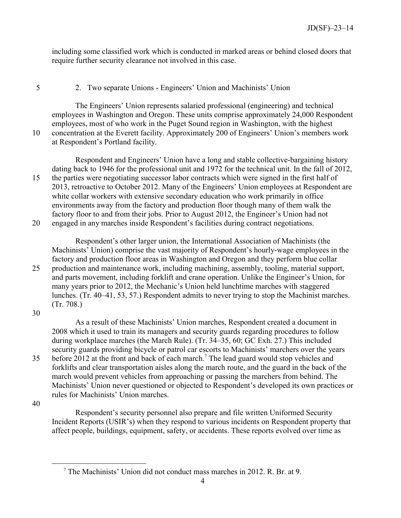including some classified work which is conducted in marked areas or behind closed doors that require further security clearance not involved in this case.

# 5 2. Two separate Unions - Engineers' Union and Machinists' Union

The Engineers' Union represents salaried professional (engineering) and technical employees in Washington and Oregon. These units comprise approximately 24,000 Respondent employees, most of who work in the Puget Sound region in Washington, with the highest 10 concentration at the Everett facility. Approximately 200 of Engineers' Union's members work at Respondent's Portland facility.

Respondent and Engineers' Union have a long and stable collective-bargaining history dating back to 1946 for the professional unit and 1972 for the technical unit. In the fall of 2012, 15 the parties were negotiating successor labor contracts which were signed in the first half of 2013, retroactive to October 2012. Many of the Engineers' Union employees at Respondent are white collar workers with extensive secondary education who work primarily in office environments away from the factory and production floor though many of them walk the factory floor to and from their jobs. Prior to August 2012, the Engineer's Union had not 20 engaged in any marches inside Respondent's facilities during contract negotiations.

Respondent's other larger union, the International Association of Machinists (the Machinists' Union) comprise the vast majority of Respondent's hourly-wage employees in the factory and production floor areas in Washington and Oregon and they perform blue collar 25 production and maintenance work, including machining, assembly, tooling, material support, and parts movement, including forklift and crane operation. Unlike the Engineer's Union, for many years prior to 2012, the Mechanic's Union held lunchtime marches with staggered lunches. (Tr. 40–41, 53, 57.) Respondent admits to never trying to stop the Machinist marches. (Tr. 708.)

30

As a result of these Machinists' Union marches, Respondent created a document in 2008 which it used to train its managers and security guards regarding procedures to follow during workplace marches (the March Rule). (Tr. 34–35, 60; GC Exh. 27.) This included security guards providing bicycle or patrol car escorts to Machinists' marchers over the years 35 before 2012 at the front and back of each march.<sup>[7](#page-3-0)</sup> The lead guard would stop vehicles and forklifts and clear transportation aisles along the march route, and the guard in the back of the march would prevent vehicles from approaching or passing the marchers from behind. The Machinists' Union never questioned or objected to Respondent's developed its own practices or rules for Machinists' Union marches.

40

<span id="page-3-0"></span> $\overline{a}$ 

Respondent's security personnel also prepare and file written Uniformed Security Incident Reports (USIR's) when they respond to various incidents on Respondent property that affect people, buildings, equipment, safety, or accidents. These reports evolved over time as

<sup>7</sup> The Machinists' Union did not conduct mass marches in 2012. R. Br. at 9.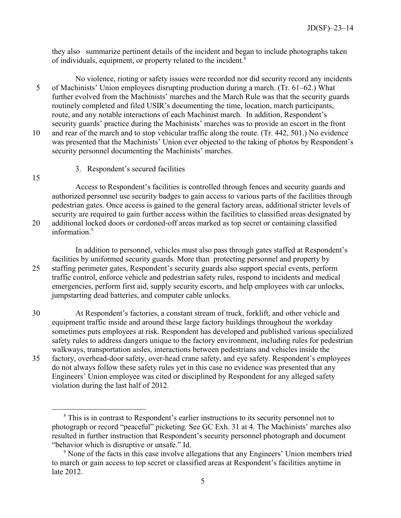they also summarize pertinent details of the incident and began to include photographs taken of individuals, equipment, or property related to the incident.<sup>[8](#page-4-0)</sup>

- No violence, rioting or safety issues were recorded nor did security record any incidents 5 of Machinists' Union employees disrupting production during a march. (Tr. 61–62.) What further evolved from the Machinists' marches and the March Rule was that the security guards routinely completed and filed USIR's documenting the time, location, march participants, route, and any notable interactions of each Machinist march. In addition, Respondent's security guards' practice during the Machinists' marches was to provide an escort in the front 10 and rear of the march and to stop vehicular traffic along the route. (Tr. 442, 501.) No evidence
- was presented that the Machinists' Union ever objected to the taking of photos by Respondent's security personnel documenting the Machinists' marches.
	- 3. Respondent's secured facilities

15

 $\overline{a}$ 

Access to Respondent's facilities is controlled through fences and security guards and authorized personnel use security badges to gain access to various parts of the facilities through pedestrian gates. Once access is gained to the general factory areas, additional stricter levels of security are required to gain further access within the facilities to classified areas designated by 20 additional locked doors or cordoned-off areas marked as top secret or containing classified information.<sup>[9](#page-4-1)</sup>

In addition to personnel, vehicles must also pass through gates staffed at Respondent's facilities by uniformed security guards. More than protecting personnel and property by 25 staffing perimeter gates, Respondent's security guards also support special events, perform traffic control, enforce vehicle and pedestrian safety rules, respond to incidents and medical emergencies, perform first aid, supply security escorts, and help employees with car unlocks, jumpstarting dead batteries, and computer cable unlocks.

30 At Respondent's factories, a constant stream of truck, forklift, and other vehicle and equipment traffic inside and around these large factory buildings throughout the workday sometimes puts employees at risk. Respondent has developed and published various specialized safety rules to address dangers unique to the factory environment, including rules for pedestrian walkways, transportation aisles, interactions between pedestrians and vehicles inside the 35 factory, overhead-door safety, over-head crane safety, and eye safety. Respondent's employees do not always follow these safety rules yet in this case no evidence was presented that any Engineers' Union employee was cited or disciplined by Respondent for any alleged safety violation during the last half of 2012.

<span id="page-4-0"></span><sup>&</sup>lt;sup>8</sup> This is in contrast to Respondent's earlier instructions to its security personnel not to photograph or record "peaceful" picketing. See GC Exh. 31 at 4. The Machinists' marches also resulted in further instruction that Respondent's security personnel photograph and document "behavior which is disruptive or unsafe." Id.

<span id="page-4-1"></span><sup>&</sup>lt;sup>9</sup> None of the facts in this case involve allegations that any Engineers' Union members tried to march or gain access to top secret or classified areas at Respondent's facilities anytime in late 2012.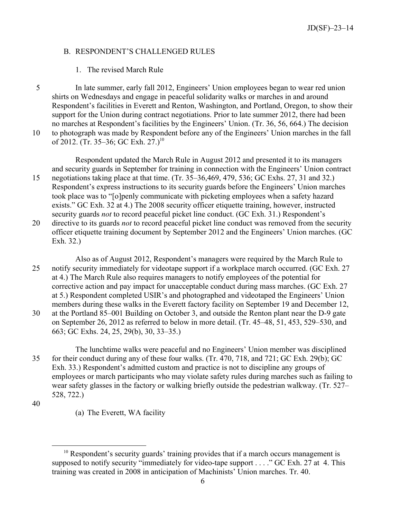### B. RESPONDENT'S CHALLENGED RULES

## 1. The revised March Rule

5 In late summer, early fall 2012, Engineers' Union employees began to wear red union shirts on Wednesdays and engage in peaceful solidarity walks or marches in and around Respondent's facilities in Everett and Renton, Washington, and Portland, Oregon, to show their support for the Union during contract negotiations. Prior to late summer 2012, there had been no marches at Respondent's facilities by the Engineers' Union. (Tr. 36, 56, 664.) The decision 10 to photograph was made by Respondent before any of the Engineers' Union marches in the fall of 2012. (Tr. 35–36; GC Exh. 27.)<sup>[10](#page-5-0)</sup>

Respondent updated the March Rule in August 2012 and presented it to its managers and security guards in September for training in connection with the Engineers' Union contract 15 negotiations taking place at that time. (Tr. 35–36,469, 479, 536; GC Exhs. 27, 31 and 32.) Respondent's express instructions to its security guards before the Engineers' Union marches took place was to "[o]penly communicate with picketing employees when a safety hazard

- exists." GC Exh. 32 at 4.) The 2008 security officer etiquette training, however, instructed security guards *not* to record peaceful picket line conduct. (GC Exh. 31.) Respondent's 20 directive to its guards *not* to record peaceful picket line conduct was removed from the security officer etiquette training document by September 2012 and the Engineers' Union marches. (GC Exh. 32.)
- Also as of August 2012, Respondent's managers were required by the March Rule to 25 notify security immediately for videotape support if a workplace march occurred. (GC Exh. 27 at 4.) The March Rule also requires managers to notify employees of the potential for corrective action and pay impact for unacceptable conduct during mass marches. (GC Exh. 27 at 5.) Respondent completed USIR's and photographed and videotaped the Engineers' Union members during these walks in the Everett factory facility on September 19 and December 12, 30 at the Portland 85–001 Building on October 3, and outside the Renton plant near the D-9 gate
- on September 26, 2012 as referred to below in more detail. (Tr. 45–48, 51, 453, 529–530, and 663; GC Exhs. 24, 25, 29(b), 30, 33–35.)
- The lunchtime walks were peaceful and no Engineers' Union member was disciplined 35 for their conduct during any of these four walks. (Tr. 470, 718, and 721; GC Exh. 29(b); GC Exh. 33.) Respondent's admitted custom and practice is not to discipline any groups of employees or march participants who may violate safety rules during marches such as failing to wear safety glasses in the factory or walking briefly outside the pedestrian walkway. (Tr. 527– 528, 722.)

40

 $\overline{a}$ 

(a) The Everett, WA facility

<span id="page-5-0"></span> $10$  Respondent's security guards' training provides that if a march occurs management is supposed to notify security "immediately for video-tape support . . . ." GC Exh. 27 at 4. This training was created in 2008 in anticipation of Machinists' Union marches. Tr. 40.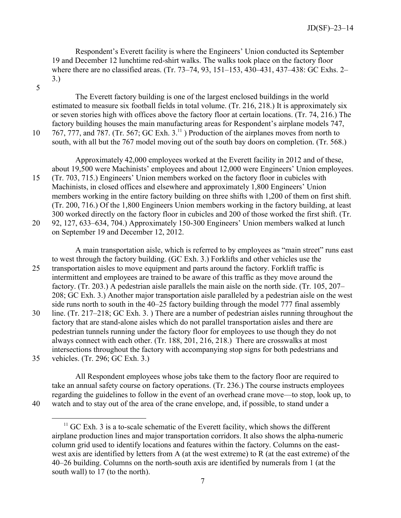Respondent's Everett facility is where the Engineers' Union conducted its September 19 and December 12 lunchtime red-shirt walks. The walks took place on the factory floor where there are no classified areas. (Tr. 73–74, 93, 151–153, 430–431, 437–438: GC Exhs. 2– 3.)

5

The Everett factory building is one of the largest enclosed buildings in the world estimated to measure six football fields in total volume. (Tr. 216, 218.) It is approximately six or seven stories high with offices above the factory floor at certain locations. (Tr. 74, 216.) The factory building houses the main manufacturing areas for Respondent's airplane models 747, 10  $767$ , 777, and 787. (Tr. 567; GC Exh. 3.<sup>[11](#page-6-0)</sup>) Production of the airplanes moves from north to south, with all but the 767 model moving out of the south bay doors on completion. (Tr. 568.)

Approximately 42,000 employees worked at the Everett facility in 2012 and of these, about 19,500 were Machinists' employees and about 12,000 were Engineers' Union employees.

15 (Tr. 703, 715.) Engineers' Union members worked on the factory floor in cubicles with Machinists, in closed offices and elsewhere and approximately 1,800 Engineers' Union members working in the entire factory building on three shifts with 1,200 of them on first shift. (Tr. 200, 716.) Of the 1,800 Engineers Union members working in the factory building, at least 300 worked directly on the factory floor in cubicles and 200 of those worked the first shift. (Tr. 20 92, 127, 633–634, 704.) Approximately 150-300 Engineers' Union members walked at lunch

on September 19 and December 12, 2012.

A main transportation aisle, which is referred to by employees as "main street" runs east to west through the factory building. (GC Exh. 3.) Forklifts and other vehicles use the 25 transportation aisles to move equipment and parts around the factory. Forklift traffic is intermittent and employees are trained to be aware of this traffic as they move around the factory. (Tr. 203.) A pedestrian aisle parallels the main aisle on the north side. (Tr. 105, 207– 208; GC Exh. 3.) Another major transportation aisle paralleled by a pedestrian aisle on the west side runs north to south in the 40–25 factory building through the model 777 final assembly

30 line. (Tr. 217–218; GC Exh. 3. ) There are a number of pedestrian aisles running throughout the factory that are stand-alone aisles which do not parallel transportation aisles and there are pedestrian tunnels running under the factory floor for employees to use though they do not always connect with each other. (Tr. 188, 201, 216, 218.) There are crosswalks at most intersections throughout the factory with accompanying stop signs for both pedestrians and 35 vehicles. (Tr. 296; GC Exh. 3.)

All Respondent employees whose jobs take them to the factory floor are required to take an annual safety course on factory operations. (Tr. 236.) The course instructs employees regarding the guidelines to follow in the event of an overhead crane move—to stop, look up, to 40 watch and to stay out of the area of the crane envelope, and, if possible, to stand under a

<span id="page-6-0"></span>

 $\overline{a}$ 

 $11$  GC Exh. 3 is a to-scale schematic of the Everett facility, which shows the different airplane production lines and major transportation corridors. It also shows the alpha-numeric column grid used to identify locations and features within the factory. Columns on the eastwest axis are identified by letters from A (at the west extreme) to R (at the east extreme) of the 40–26 building. Columns on the north-south axis are identified by numerals from 1 (at the south wall) to 17 (to the north).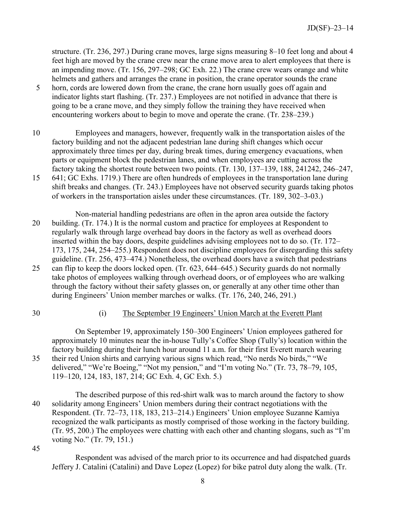structure. (Tr. 236, 297.) During crane moves, large signs measuring 8–10 feet long and about 4 feet high are moved by the crane crew near the crane move area to alert employees that there is an impending move. (Tr. 156, 297–298; GC Exh. 22.) The crane crew wears orange and white helmets and gathers and arranges the crane in position, the crane operator sounds the crane

- 5 horn, cords are lowered down from the crane, the crane horn usually goes off again and indicator lights start flashing. (Tr. 237.) Employees are not notified in advance that there is going to be a crane move, and they simply follow the training they have received when encountering workers about to begin to move and operate the crane. (Tr. 238–239.)
- 10 Employees and managers, however, frequently walk in the transportation aisles of the factory building and not the adjacent pedestrian lane during shift changes which occur approximately three times per day, during break times, during emergency evacuations, when parts or equipment block the pedestrian lanes, and when employees are cutting across the factory taking the shortest route between two points. (Tr. 130, 137–139, 188, 241242, 246–247,

15 641; GC Exhs. 1719.) There are often hundreds of employees in the transportation lane during shift breaks and changes. (Tr. 243.) Employees have not observed security guards taking photos of workers in the transportation aisles under these circumstances. (Tr. 189, 302–3-03.)

Non-material handling pedestrians are often in the apron area outside the factory 20 building. (Tr. 174.) It is the normal custom and practice for employees at Respondent to regularly walk through large overhead bay doors in the factory as well as overhead doors inserted within the bay doors, despite guidelines advising employees not to do so. (Tr. 172– 173, 175, 244, 254–255.) Respondent does not discipline employees for disregarding this safety guideline. (Tr. 256, 473–474.) Nonetheless, the overhead doors have a switch that pedestrians 25 can flip to keep the doors locked open. (Tr. 623, 644–645.) Security guards do not normally take photos of employees walking through overhead doors, or of employees who are walking through the factory without their safety glasses on, or generally at any other time other than during Engineers' Union member marches or walks. (Tr. 176, 240, 246, 291.)

## 30 (i) The September 19 Engineers' Union March at the Everett Plant

On September 19, approximately 150–300 Engineers' Union employees gathered for approximately 10 minutes near the in-house Tully's Coffee Shop (Tully's) location within the factory building during their lunch hour around 11 a.m. for their first Everett march wearing 35 their red Union shirts and carrying various signs which read, "No nerds No birds," "We delivered," "We're Boeing," "Not my pension," and "I'm voting No." (Tr. 73, 78–79, 105, 119–120, 124, 183, 187, 214; GC Exh. 4, GC Exh. 5.)

The described purpose of this red-shirt walk was to march around the factory to show 40 solidarity among Engineers' Union members during their contract negotiations with the Respondent. (Tr. 72–73, 118, 183, 213–214.) Engineers' Union employee Suzanne Kamiya recognized the walk participants as mostly comprised of those working in the factory building. (Tr. 95, 200.) The employees were chatting with each other and chanting slogans, such as "I'm voting No." (Tr. 79, 151.)

45

Respondent was advised of the march prior to its occurrence and had dispatched guards Jeffery J. Catalini (Catalini) and Dave Lopez (Lopez) for bike patrol duty along the walk. (Tr.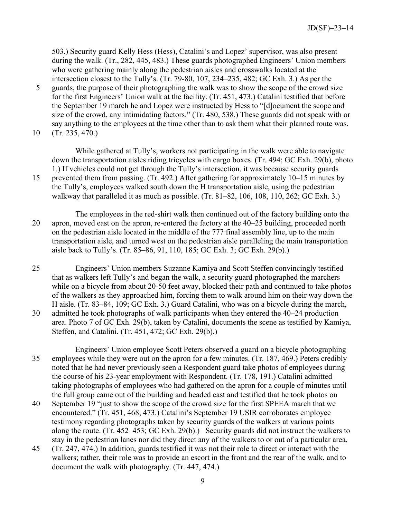503.) Security guard Kelly Hess (Hess), Catalini's and Lopez' supervisor, was also present during the walk. (Tr., 282, 445, 483.) These guards photographed Engineers' Union members who were gathering mainly along the pedestrian aisles and crosswalks located at the intersection closest to the Tully's. (Tr. 79-80, 107, 234–235, 482; GC Exh. 3.) As per the 5 guards, the purpose of their photographing the walk was to show the scope of the crowd size for the first Engineers' Union walk at the facility. (Tr. 451, 473.) Catalini testified that before the September 19 march he and Lopez were instructed by Hess to "[d]ocument the scope and size of the crowd, any intimidating factors." (Tr. 480, 538.) These guards did not speak with or say anything to the employees at the time other than to ask them what their planned route was.

10 (Tr. 235, 470.)

While gathered at Tully's, workers not participating in the walk were able to navigate down the transportation aisles riding tricycles with cargo boxes. (Tr. 494; GC Exh. 29(b), photo 1.) If vehicles could not get through the Tully's intersection, it was because security guards 15 prevented them from passing. (Tr. 492.) After gathering for approximately 10–15 minutes by

the Tully's, employees walked south down the H transportation aisle, using the pedestrian walkway that paralleled it as much as possible. (Tr. 81–82, 106, 108, 110, 262; GC Exh. 3.)

The employees in the red-shirt walk then continued out of the factory building onto the 20 apron, moved east on the apron, re-entered the factory at the 40–25 building, proceeded north on the pedestrian aisle located in the middle of the 777 final assembly line, up to the main transportation aisle, and turned west on the pedestrian aisle paralleling the main transportation aisle back to Tully's. (Tr. 85–86, 91, 110, 185; GC Exh. 3; GC Exh. 29(b).)

25 Engineers' Union members Suzanne Kamiya and Scott Steffen convincingly testified that as walkers left Tully's and began the walk, a security guard photographed the marchers while on a bicycle from about 20-50 feet away, blocked their path and continued to take photos of the walkers as they approached him, forcing them to walk around him on their way down the H aisle. (Tr. 83–84, 109; GC Exh. 3.) Guard Catalini, who was on a bicycle during the march, 30 admitted he took photographs of walk participants when they entered the 40–24 production area. Photo 7 of GC Exh. 29(b), taken by Catalini, documents the scene as testified by Kamiya, Steffen, and Catalini. (Tr. 451, 472; GC Exh. 29(b).)

Engineers' Union employee Scott Peters observed a guard on a bicycle photographing 35 employees while they were out on the apron for a few minutes. (Tr. 187, 469.) Peters credibly noted that he had never previously seen a Respondent guard take photos of employees during the course of his 23-year employment with Respondent. (Tr. 178, 191.) Catalini admitted taking photographs of employees who had gathered on the apron for a couple of minutes until the full group came out of the building and headed east and testified that he took photos on

- 40 September 19 "just to show the scope of the crowd size for the first SPEEA march that we encountered." (Tr. 451, 468, 473.) Catalini's September 19 USIR corroborates employee testimony regarding photographs taken by security guards of the walkers at various points along the route. (Tr. 452–453; GC Exh. 29(b).) Security guards did not instruct the walkers to stay in the pedestrian lanes nor did they direct any of the walkers to or out of a particular area.
- 45 (Tr. 247, 474.) In addition, guards testified it was not their role to direct or interact with the walkers; rather, their role was to provide an escort in the front and the rear of the walk, and to document the walk with photography. (Tr. 447, 474.)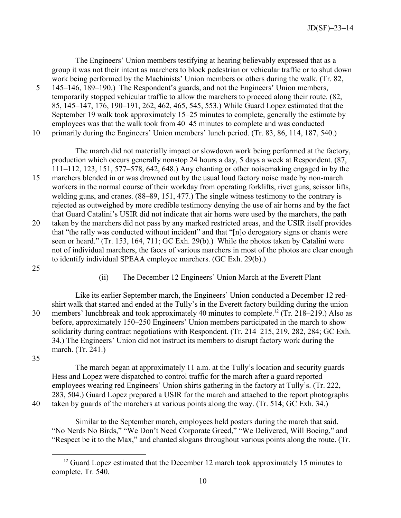The Engineers' Union members testifying at hearing believably expressed that as a group it was not their intent as marchers to block pedestrian or vehicular traffic or to shut down work being performed by the Machinists' Union members or others during the walk. (Tr. 82,

5 145–146, 189–190.) The Respondent's guards, and not the Engineers' Union members, temporarily stopped vehicular traffic to allow the marchers to proceed along their route. (82, 85, 145–147, 176, 190–191, 262, 462, 465, 545, 553.) While Guard Lopez estimated that the September 19 walk took approximately 15–25 minutes to complete, generally the estimate by employees was that the walk took from 40–45 minutes to complete and was conducted 10 primarily during the Engineers' Union members' lunch period. (Tr. 83, 86, 114, 187, 540.)

The march did not materially impact or slowdown work being performed at the factory, production which occurs generally nonstop 24 hours a day, 5 days a week at Respondent. (87, 111–112, 123, 151, 577–578, 642, 648.) Any chanting or other noisemaking engaged in by the

15 marchers blended in or was drowned out by the usual loud factory noise made by non-march workers in the normal course of their workday from operating forklifts, rivet guns, scissor lifts, welding guns, and cranes. (88–89, 151, 477.) The single witness testimony to the contrary is rejected as outweighed by more credible testimony denying the use of air horns and by the fact that Guard Catalini's USIR did not indicate that air horns were used by the marchers, the path 20 taken by the marchers did not pass by any marked restricted areas, and the USIR itself provides that "the rally was conducted without incident" and that "[n]o derogatory signs or chants were seen or heard." (Tr. 153, 164, 711; GC Exh. 29(b).) While the photos taken by Catalini were not of individual marchers, the faces of various marchers in most of the photos are clear enough to identify individual SPEAA employee marchers. (GC Exh. 29(b).)

25

## (ii) The December 12 Engineers' Union March at the Everett Plant

Like its earlier September march, the Engineers' Union conducted a December 12 redshirt walk that started and ended at the Tully's in the Everett factory building during the union 30 members' lunchbreak and took approximately 40 minutes to complete.<sup>[12](#page-9-0)</sup> (Tr. 218–219.) Also as before, approximately 150–250 Engineers' Union members participated in the march to show solidarity during contract negotiations with Respondent. (Tr. 214–215, 219, 282, 284; GC Exh. 34.) The Engineers' Union did not instruct its members to disrupt factory work during the march. (Tr. 241.)

35

The march began at approximately 11 a.m. at the Tully's location and security guards Hess and Lopez were dispatched to control traffic for the march after a guard reported employees wearing red Engineers' Union shirts gathering in the factory at Tully's. (Tr. 222, 283, 504.) Guard Lopez prepared a USIR for the march and attached to the report photographs 40 taken by guards of the marchers at various points along the way. (Tr. 514; GC Exh. 34.)

 $\overline{a}$ 

Similar to the September march, employees held posters during the march that said. "No Nerds No Birds," "We Don't Need Corporate Greed," "We Delivered, Will Boeing," and "Respect be it to the Max," and chanted slogans throughout various points along the route. (Tr.

<span id="page-9-0"></span> $12$  Guard Lopez estimated that the December 12 march took approximately 15 minutes to complete. Tr. 540.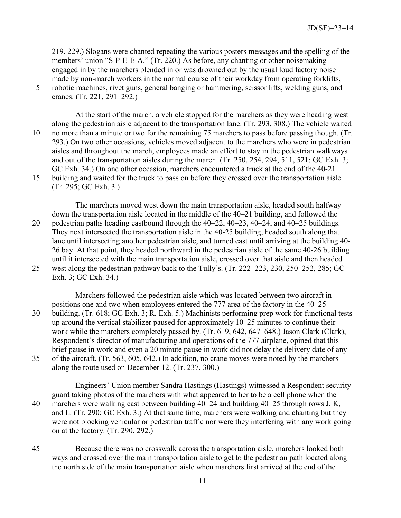219, 229.) Slogans were chanted repeating the various posters messages and the spelling of the members' union "S-P-E-E-A." (Tr. 220.) As before, any chanting or other noisemaking engaged in by the marchers blended in or was drowned out by the usual loud factory noise made by non-march workers in the normal course of their workday from operating forklifts,

5 robotic machines, rivet guns, general banging or hammering, scissor lifts, welding guns, and cranes. (Tr. 221, 291–292.)

At the start of the march, a vehicle stopped for the marchers as they were heading west along the pedestrian aisle adjacent to the transportation lane. (Tr. 293, 308.) The vehicle waited 10 no more than a minute or two for the remaining 75 marchers to pass before passing though. (Tr. 293.) On two other occasions, vehicles moved adjacent to the marchers who were in pedestrian aisles and throughout the march, employees made an effort to stay in the pedestrian walkways and out of the transportation aisles during the march. (Tr. 250, 254, 294, 511, 521: GC Exh. 3; GC Exh. 34.) On one other occasion, marchers encountered a truck at the end of the 40-21 15 building and waited for the truck to pass on before they crossed over the transportation aisle.

The marchers moved west down the main transportation aisle, headed south halfway down the transportation aisle located in the middle of the 40–21 building, and followed the 20 pedestrian paths heading eastbound through the 40–22, 40–23, 40–24, and 40–25 buildings. They next intersected the transportation aisle in the 40-25 building, headed south along that lane until intersecting another pedestrian aisle, and turned east until arriving at the building 40- 26 bay. At that point, they headed northward in the pedestrian aisle of the same 40-26 building until it intersected with the main transportation aisle, crossed over that aisle and then headed 25 west along the pedestrian pathway back to the Tully's. (Tr. 222–223, 230, 250–252, 285; GC Exh. 3; GC Exh. 34.)

Marchers followed the pedestrian aisle which was located between two aircraft in positions one and two when employees entered the 777 area of the factory in the 40–25 30 building. (Tr. 618; GC Exh. 3; R. Exh. 5.) Machinists performing prep work for functional tests up around the vertical stabilizer paused for approximately 10–25 minutes to continue their work while the marchers completely passed by. (Tr. 619, 642, 647–648.) Jason Clark (Clark), Respondent's director of manufacturing and operations of the 777 airplane, opined that this brief pause in work and even a 20 minute pause in work did not delay the delivery date of any 35 of the aircraft. (Tr. 563, 605, 642.) In addition, no crane moves were noted by the marchers along the route used on December 12. (Tr. 237, 300.)

Engineers' Union member Sandra Hastings (Hastings) witnessed a Respondent security guard taking photos of the marchers with what appeared to her to be a cell phone when the 40 marchers were walking east between building 40–24 and building 40–25 through rows J, K, and L. (Tr. 290; GC Exh. 3.) At that same time, marchers were walking and chanting but they were not blocking vehicular or pedestrian traffic nor were they interfering with any work going on at the factory. (Tr. 290, 292.)

45 Because there was no crosswalk across the transportation aisle, marchers looked both ways and crossed over the main transportation aisle to get to the pedestrian path located along the north side of the main transportation aisle when marchers first arrived at the end of the

<sup>(</sup>Tr. 295; GC Exh. 3.)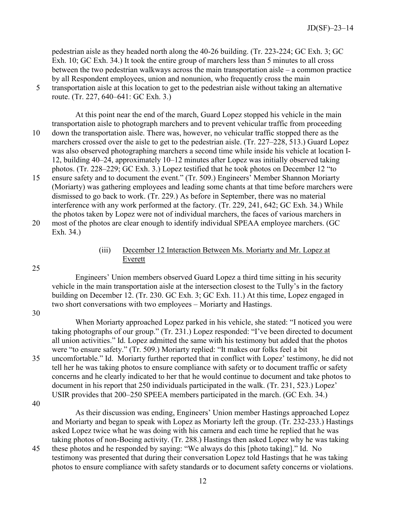pedestrian aisle as they headed north along the 40-26 building. (Tr. 223-224; GC Exh. 3; GC Exh. 10; GC Exh. 34.) It took the entire group of marchers less than 5 minutes to all cross between the two pedestrian walkways across the main transportation aisle – a common practice by all Respondent employees, union and nonunion, who frequently cross the main

5 transportation aisle at this location to get to the pedestrian aisle without taking an alternative route. (Tr. 227, 640–641: GC Exh. 3.)

At this point near the end of the march, Guard Lopez stopped his vehicle in the main transportation aisle to photograph marchers and to prevent vehicular traffic from proceeding 10 down the transportation aisle. There was, however, no vehicular traffic stopped there as the marchers crossed over the aisle to get to the pedestrian aisle. (Tr. 227–228, 513.) Guard Lopez was also observed photographing marchers a second time while inside his vehicle at location I-12, building 40–24, approximately 10–12 minutes after Lopez was initially observed taking photos. (Tr. 228–229; GC Exh. 3.) Lopez testified that he took photos on December 12 "to

15 ensure safety and to document the event." (Tr. 509.) Engineers' Member Shannon Moriarty (Moriarty) was gathering employees and leading some chants at that time before marchers were dismissed to go back to work. (Tr. 229.) As before in September, there was no material interference with any work performed at the factory. (Tr. 229, 241, 642; GC Exh. 34.) While the photos taken by Lopez were not of individual marchers, the faces of various marchers in 20 most of the photos are clear enough to identify individual SPEAA employee marchers. (GC

Exh. 34.)

# (iii) December 12 Interaction Between Ms. Moriarty and Mr. Lopez at Everett

Engineers' Union members observed Guard Lopez a third time sitting in his security vehicle in the main transportation aisle at the intersection closest to the Tully's in the factory building on December 12. (Tr. 230. GC Exh. 3; GC Exh. 11.) At this time, Lopez engaged in two short conversations with two employees – Moriarty and Hastings.

30

25

When Moriarty approached Lopez parked in his vehicle, she stated: "I noticed you were taking photographs of our group." (Tr. 231.) Lopez responded: "I've been directed to document all union activities." Id. Lopez admitted the same with his testimony but added that the photos were "to ensure safety." (Tr. 509.) Moriarty replied: "It makes our folks feel a bit 35 uncomfortable." Id. Moriarty further reported that in conflict with Lopez' testimony, he did not tell her he was taking photos to ensure compliance with safety or to document traffic or safety concerns and he clearly indicated to her that he would continue to document and take photos to document in his report that 250 individuals participated in the walk. (Tr. 231, 523.) Lopez' USIR provides that 200–250 SPEEA members participated in the march. (GC Exh. 34.)

40

As their discussion was ending, Engineers' Union member Hastings approached Lopez and Moriarty and began to speak with Lopez as Moriarty left the group. (Tr. 232-233.) Hastings asked Lopez twice what he was doing with his camera and each time he replied that he was taking photos of non-Boeing activity. (Tr. 288.) Hastings then asked Lopez why he was taking

45 these photos and he responded by saying: "We always do this [photo taking]." Id. No testimony was presented that during their conversation Lopez told Hastings that he was taking photos to ensure compliance with safety standards or to document safety concerns or violations.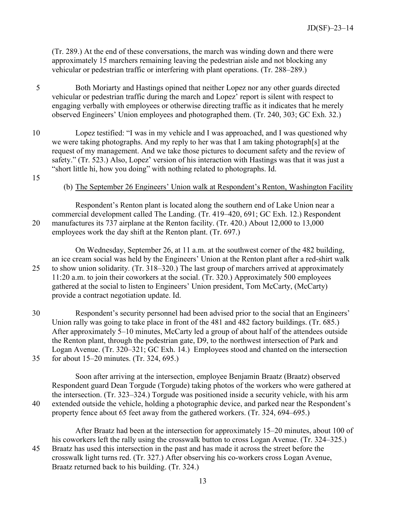(Tr. 289.) At the end of these conversations, the march was winding down and there were approximately 15 marchers remaining leaving the pedestrian aisle and not blocking any vehicular or pedestrian traffic or interfering with plant operations. (Tr. 288–289.)

- 5 Both Moriarty and Hastings opined that neither Lopez nor any other guards directed vehicular or pedestrian traffic during the march and Lopez' report is silent with respect to engaging verbally with employees or otherwise directing traffic as it indicates that he merely observed Engineers' Union employees and photographed them. (Tr. 240, 303; GC Exh. 32.)
- 10 Lopez testified: "I was in my vehicle and I was approached, and I was questioned why we were taking photographs. And my reply to her was that I am taking photograph[s] at the request of my management. And we take those pictures to document safety and the review of safety." (Tr. 523.) Also, Lopez' version of his interaction with Hastings was that it was just a "short little hi, how you doing" with nothing related to photographs. Id.
- 15

### (b) The September 26 Engineers' Union walk at Respondent's Renton, Washington Facility

Respondent's Renton plant is located along the southern end of Lake Union near a commercial development called The Landing. (Tr. 419–420, 691; GC Exh. 12.) Respondent 20 manufactures its 737 airplane at the Renton facility. (Tr. 420.) About 12,000 to 13,000 employees work the day shift at the Renton plant. (Tr. 697.)

On Wednesday, September 26, at 11 a.m. at the southwest corner of the 482 building, an ice cream social was held by the Engineers' Union at the Renton plant after a red-shirt walk 25 to show union solidarity. (Tr. 318–320.) The last group of marchers arrived at approximately 11:20 a.m. to join their coworkers at the social. (Tr. 320.) Approximately 500 employees gathered at the social to listen to Engineers' Union president, Tom McCarty, (McCarty) provide a contract negotiation update. Id.

30 Respondent's security personnel had been advised prior to the social that an Engineers' Union rally was going to take place in front of the 481 and 482 factory buildings. (Tr. 685.) After approximately 5–10 minutes, McCarty led a group of about half of the attendees outside the Renton plant, through the pedestrian gate, D9, to the northwest intersection of Park and Logan Avenue. (Tr. 320–321; GC Exh. 14.) Employees stood and chanted on the intersection 35 for about 15–20 minutes. (Tr. 324, 695.)

Soon after arriving at the intersection, employee Benjamin Braatz (Braatz) observed Respondent guard Dean Torgude (Torgude) taking photos of the workers who were gathered at the intersection. (Tr. 323–324.) Torgude was positioned inside a security vehicle, with his arm 40 extended outside the vehicle, holding a photographic device, and parked near the Respondent's property fence about 65 feet away from the gathered workers. (Tr. 324, 694–695.)

After Braatz had been at the intersection for approximately 15–20 minutes, about 100 of his coworkers left the rally using the crosswalk button to cross Logan Avenue. (Tr. 324–325.) 45 Braatz has used this intersection in the past and has made it across the street before the crosswalk light turns red. (Tr. 327.) After observing his co-workers cross Logan Avenue, Braatz returned back to his building. (Tr. 324.)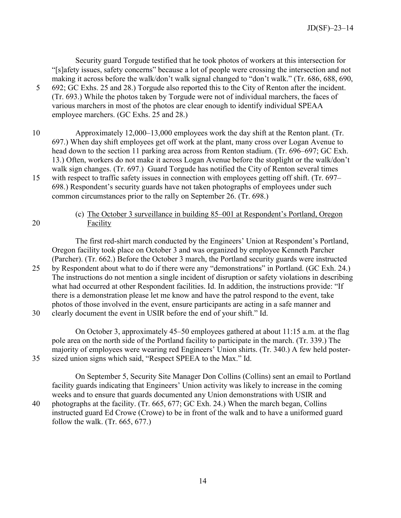Security guard Torgude testified that he took photos of workers at this intersection for "[s]afety issues, safety concerns" because a lot of people were crossing the intersection and not making it across before the walk/don't walk signal changed to "don't walk." (Tr. 686, 688, 690, 5 692; GC Exhs. 25 and 28.) Torgude also reported this to the City of Renton after the incident. (Tr. 693.) While the photos taken by Torgude were not of individual marchers, the faces of various marchers in most of the photos are clear enough to identify individual SPEAA employee marchers. (GC Exhs. 25 and 28.)

- 10 Approximately 12,000–13,000 employees work the day shift at the Renton plant. (Tr. 697.) When day shift employees get off work at the plant, many cross over Logan Avenue to head down to the section 11 parking area across from Renton stadium. (Tr. 696–697; GC Exh. 13.) Often, workers do not make it across Logan Avenue before the stoplight or the walk/don't walk sign changes. (Tr. 697.) Guard Torgude has notified the City of Renton several times 15 with respect to traffic safety issues in connection with employees getting off shift. (Tr. 697– 698.) Respondent's security guards have not taken photographs of employees under such common circumstances prior to the rally on September 26. (Tr. 698.)
- 

## (c) The October 3 surveillance in building 85–001 at Respondent's Portland, Oregon 20 Facility

The first red-shirt march conducted by the Engineers' Union at Respondent's Portland, Oregon facility took place on October 3 and was organized by employee Kenneth Parcher (Parcher). (Tr. 662.) Before the October 3 march, the Portland security guards were instructed 25 by Respondent about what to do if there were any "demonstrations" in Portland. (GC Exh. 24.) The instructions do not mention a single incident of disruption or safety violations in describing what had occurred at other Respondent facilities. Id. In addition, the instructions provide: "If there is a demonstration please let me know and have the patrol respond to the event, take photos of those involved in the event, ensure participants are acting in a safe manner and 30 clearly document the event in USIR before the end of your shift." Id.

On October 3, approximately 45–50 employees gathered at about 11:15 a.m. at the flag pole area on the north side of the Portland facility to participate in the march. (Tr. 339.) The majority of employees were wearing red Engineers' Union shirts. (Tr. 340.) A few held poster-35 sized union signs which said, "Respect SPEEA to the Max." Id.

On September 5, Security Site Manager Don Collins (Collins) sent an email to Portland facility guards indicating that Engineers' Union activity was likely to increase in the coming weeks and to ensure that guards documented any Union demonstrations with USIR and 40 photographs at the facility. (Tr. 665, 677; GC Exh. 24.) When the march began, Collins instructed guard Ed Crowe (Crowe) to be in front of the walk and to have a uniformed guard follow the walk. (Tr. 665, 677.)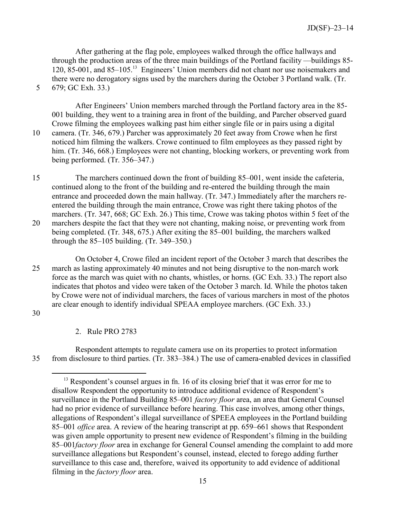After gathering at the flag pole, employees walked through the office hallways and through the production areas of the three main buildings of the Portland facility —buildings 85- 120, 85-001, and 85–105.[13](#page-14-0) Engineers' Union members did not chant nor use noisemakers and there were no derogatory signs used by the marchers during the October 3 Portland walk. (Tr. 5 679; GC Exh. 33.)

After Engineers' Union members marched through the Portland factory area in the 85- 001 building, they went to a training area in front of the building, and Parcher observed guard Crowe filming the employees walking past him either single file or in pairs using a digital 10 camera. (Tr. 346, 679.) Parcher was approximately 20 feet away from Crowe when he first noticed him filming the walkers. Crowe continued to film employees as they passed right by him. (Tr. 346, 668.) Employees were not chanting, blocking workers, or preventing work from being performed. (Tr. 356–347.)

15 The marchers continued down the front of building 85–001, went inside the cafeteria, continued along to the front of the building and re-entered the building through the main entrance and proceeded down the main hallway. (Tr. 347.) Immediately after the marchers reentered the building through the main entrance, Crowe was right there taking photos of the marchers. (Tr. 347, 668; GC Exh. 26.) This time, Crowe was taking photos within 5 feet of the 20 marchers despite the fact that they were not chanting, making noise, or preventing work from being completed. (Tr. 348, 675.) After exiting the 85–001 building, the marchers walked through the 85–105 building. (Tr. 349–350.)

On October 4, Crowe filed an incident report of the October 3 march that describes the 25 march as lasting approximately 40 minutes and not being disruptive to the non-march work force as the march was quiet with no chants, whistles, or horns. (GC Exh. 33.) The report also indicates that photos and video were taken of the October 3 march. Id. While the photos taken by Crowe were not of individual marchers, the faces of various marchers in most of the photos are clear enough to identify individual SPEAA employee marchers. (GC Exh. 33.)

30

 $\overline{a}$ 

2. Rule PRO 2783

<span id="page-14-0"></span>Respondent attempts to regulate camera use on its properties to protect information 35 from disclosure to third parties. (Tr. 383–384.) The use of camera-enabled devices in classified

<sup>&</sup>lt;sup>13</sup> Respondent's counsel argues in fn. 16 of its closing brief that it was error for me to disallow Respondent the opportunity to introduce additional evidence of Respondent's surveillance in the Portland Building 85–001 *factory floor* area, an area that General Counsel had no prior evidence of surveillance before hearing. This case involves, among other things, allegations of Respondent's illegal surveillance of SPEEA employees in the Portland building 85–001 *office* area. A review of the hearing transcript at pp. 659–661 shows that Respondent was given ample opportunity to present new evidence of Respondent's filming in the building 85–001*factory floor* area in exchange for General Counsel amending the complaint to add more surveillance allegations but Respondent's counsel, instead, elected to forego adding further surveillance to this case and, therefore, waived its opportunity to add evidence of additional filming in the *factory floor* area.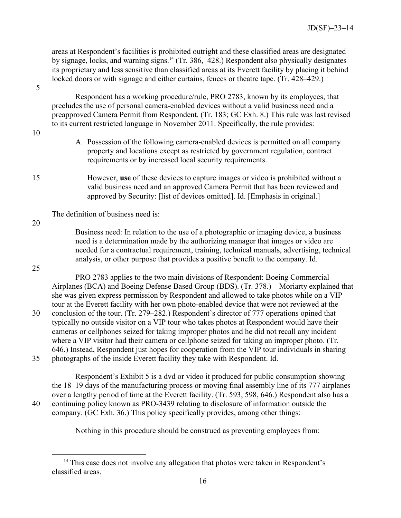areas at Respondent's facilities is prohibited outright and these classified areas are designated by signage, locks, and warning signs.<sup>[14](#page-15-0)</sup> (Tr. 386,  $\overline{428}$ .) Respondent also physically designates its proprietary and less sensitive than classified areas at its Everett facility by placing it behind locked doors or with signage and either curtains, fences or theatre tape. (Tr. 428–429.)

5

Respondent has a working procedure/rule, PRO 2783, known by its employees, that precludes the use of personal camera-enabled devices without a valid business need and a preapproved Camera Permit from Respondent. (Tr. 183; GC Exh. 8.) This rule was last revised to its current restricted language in November 2011. Specifically, the rule provides:

- 10
- A. Possession of the following camera-enabled devices is permitted on all company property and locations except as restricted by government regulation, contract requirements or by increased local security requirements.
- 15 However, **use** of these devices to capture images or video is prohibited without a valid business need and an approved Camera Permit that has been reviewed and approved by Security: [list of devices omitted]. Id. [Emphasis in original.]

The definition of business need is:

20

25

 $\overline{a}$ 

Business need: In relation to the use of a photographic or imaging device, a business need is a determination made by the authorizing manager that images or video are needed for a contractual requirement, training, technical manuals, advertising, technical analysis, or other purpose that provides a positive benefit to the company. Id.

PRO 2783 applies to the two main divisions of Respondent: Boeing Commercial Airplanes (BCA) and Boeing Defense Based Group (BDS). (Tr. 378.) Moriarty explained that she was given express permission by Respondent and allowed to take photos while on a VIP tour at the Everett facility with her own photo-enabled device that were not reviewed at the 30 conclusion of the tour. (Tr. 279–282.) Respondent's director of 777 operations opined that typically no outside visitor on a VIP tour who takes photos at Respondent would have their cameras or cellphones seized for taking improper photos and he did not recall any incident where a VIP visitor had their camera or cellphone seized for taking an improper photo. (Tr. 646.) Instead, Respondent just hopes for cooperation from the VIP tour individuals in sharing 35 photographs of the inside Everett facility they take with Respondent. Id.

Respondent's Exhibit 5 is a dvd or video it produced for public consumption showing the 18–19 days of the manufacturing process or moving final assembly line of its 777 airplanes over a lengthy period of time at the Everett facility. (Tr. 593, 598, 646.) Respondent also has a 40 continuing policy known as PRO-3439 relating to disclosure of information outside the company. (GC Exh. 36.) This policy specifically provides, among other things:

Nothing in this procedure should be construed as preventing employees from:

<span id="page-15-0"></span><sup>&</sup>lt;sup>14</sup> This case does not involve any allegation that photos were taken in Respondent's classified areas.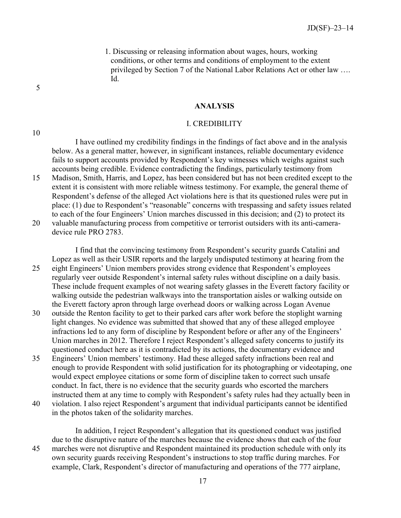1. Discussing or releasing information about wages, hours, working conditions, or other terms and conditions of employment to the extent privileged by Section 7 of the National Labor Relations Act or other law …. Id.

#### **ANALYSIS**

#### I. CREDIBILITY

I have outlined my credibility findings in the findings of fact above and in the analysis below. As a general matter, however, in significant instances, reliable documentary evidence fails to support accounts provided by Respondent's key witnesses which weighs against such accounts being credible. Evidence contradicting the findings, particularly testimony from 15 Madison, Smith, Harris, and Lopez, has been considered but has not been credited except to the extent it is consistent with more reliable witness testimony. For example, the general theme of

Respondent's defense of the alleged Act violations here is that its questioned rules were put in place: (1) due to Respondent's "reasonable" concerns with trespassing and safety issues related to each of the four Engineers' Union marches discussed in this decision; and (2) to protect its 20 valuable manufacturing process from competitive or terrorist outsiders with its anti-cameradevice rule PRO 2783.

I find that the convincing testimony from Respondent's security guards Catalini and Lopez as well as their USIR reports and the largely undisputed testimony at hearing from the 25 eight Engineers' Union members provides strong evidence that Respondent's employees regularly veer outside Respondent's internal safety rules without discipline on a daily basis. These include frequent examples of not wearing safety glasses in the Everett factory facility or walking outside the pedestrian walkways into the transportation aisles or walking outside on the Everett factory apron through large overhead doors or walking across Logan Avenue

- 30 outside the Renton facility to get to their parked cars after work before the stoplight warning light changes. No evidence was submitted that showed that any of these alleged employee infractions led to any form of discipline by Respondent before or after any of the Engineers' Union marches in 2012. Therefore I reject Respondent's alleged safety concerns to justify its questioned conduct here as it is contradicted by its actions, the documentary evidence and
- 35 Engineers' Union members' testimony. Had these alleged safety infractions been real and enough to provide Respondent with solid justification for its photographing or videotaping, one would expect employee citations or some form of discipline taken to correct such unsafe conduct. In fact, there is no evidence that the security guards who escorted the marchers instructed them at any time to comply with Respondent's safety rules had they actually been in
- 40 violation. I also reject Respondent's argument that individual participants cannot be identified in the photos taken of the solidarity marches.

In addition, I reject Respondent's allegation that its questioned conduct was justified due to the disruptive nature of the marches because the evidence shows that each of the four 45 marches were not disruptive and Respondent maintained its production schedule with only its own security guards receiving Respondent's instructions to stop traffic during marches. For example, Clark, Respondent's director of manufacturing and operations of the 777 airplane,

5

10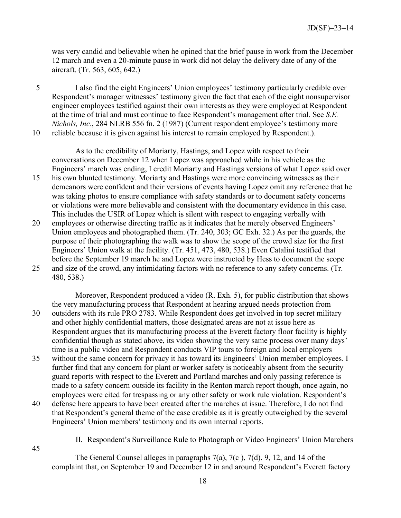was very candid and believable when he opined that the brief pause in work from the December 12 march and even a 20-minute pause in work did not delay the delivery date of any of the aircraft. (Tr. 563, 605, 642.)

5 I also find the eight Engineers' Union employees' testimony particularly credible over Respondent's manager witnesses' testimony given the fact that each of the eight nonsupervisor engineer employees testified against their own interests as they were employed at Respondent at the time of trial and must continue to face Respondent's management after trial. See *S.E. Nichols, Inc*., 284 NLRB 556 fn. 2 (1987) (Current respondent employee's testimony more 10 reliable because it is given against his interest to remain employed by Respondent.).

As to the credibility of Moriarty, Hastings, and Lopez with respect to their conversations on December 12 when Lopez was approached while in his vehicle as the Engineers' march was ending, I credit Moriarty and Hastings versions of what Lopez said over

- 15 his own blunted testimony. Moriarty and Hastings were more convincing witnesses as their demeanors were confident and their versions of events having Lopez omit any reference that he was taking photos to ensure compliance with safety standards or to document safety concerns or violations were more believable and consistent with the documentary evidence in this case. This includes the USIR of Lopez which is silent with respect to engaging verbally with
- 20 employees or otherwise directing traffic as it indicates that he merely observed Engineers' Union employees and photographed them. (Tr. 240, 303; GC Exh. 32.) As per the guards, the purpose of their photographing the walk was to show the scope of the crowd size for the first Engineers' Union walk at the facility. (Tr. 451, 473, 480, 538.) Even Catalini testified that before the September 19 march he and Lopez were instructed by Hess to document the scope 25 and size of the crowd, any intimidating factors with no reference to any safety concerns. (Tr. 480, 538.)

Moreover, Respondent produced a video (R. Exh. 5), for public distribution that shows the very manufacturing process that Respondent at hearing argued needs protection from 30 outsiders with its rule PRO 2783. While Respondent does get involved in top secret military and other highly confidential matters, those designated areas are not at issue here as Respondent argues that its manufacturing process at the Everett factory floor facility is highly confidential though as stated above, its video showing the very same process over many days' time is a public video and Respondent conducts VIP tours to foreign and local employers

- 35 without the same concern for privacy it has toward its Engineers' Union member employees. I further find that any concern for plant or worker safety is noticeably absent from the security guard reports with respect to the Everett and Portland marches and only passing reference is made to a safety concern outside its facility in the Renton march report though, once again, no employees were cited for trespassing or any other safety or work rule violation. Respondent's
- 40 defense here appears to have been created after the marches at issue. Therefore, I do not find that Respondent's general theme of the case credible as it is greatly outweighed by the several Engineers' Union members' testimony and its own internal reports.
	- II. Respondent's Surveillance Rule to Photograph or Video Engineers' Union Marchers
	- The General Counsel alleges in paragraphs 7(a), 7(c ), 7(d), 9, 12, and 14 of the complaint that, on September 19 and December 12 in and around Respondent's Everett factory

45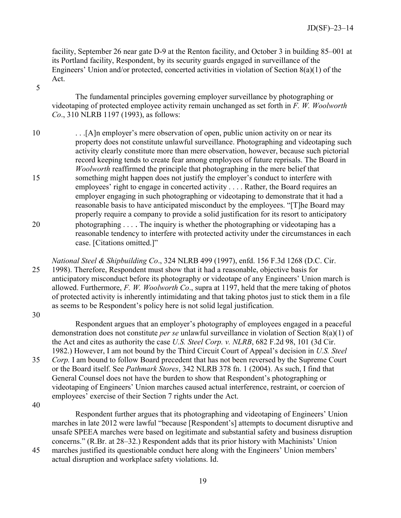facility, September 26 near gate D-9 at the Renton facility, and October 3 in building 85–001 at its Portland facility, Respondent, by its security guards engaged in surveillance of the Engineers' Union and/or protected, concerted activities in violation of Section 8(a)(1) of the Act.

5

The fundamental principles governing employer surveillance by photographing or videotaping of protected employee activity remain unchanged as set forth in *F. W. Woolworth Co*., 310 NLRB 1197 (1993), as follows:

10 . . .[A]n employer's mere observation of open, public union activity on or near its property does not constitute unlawful surveillance. Photographing and videotaping such activity clearly constitute more than mere observation, however, because such pictorial record keeping tends to create fear among employees of future reprisals. The Board in *Woolworth* reaffirmed the principle that photographing in the mere belief that 15 something might happen does not justify the employer's conduct to interfere with employees' right to engage in concerted activity . . . . Rather, the Board requires an employer engaging in such photographing or videotaping to demonstrate that it had a reasonable basis to have anticipated misconduct by the employees. "[T]he Board may properly require a company to provide a solid justification for its resort to anticipatory 20 photographing . . . . The inquiry is whether the photographing or videotaping has a reasonable tendency to interfere with protected activity under the circumstances in each case. [Citations omitted.]"

*National Steel & Shipbuilding Co*., 324 NLRB 499 (1997), enfd. 156 F.3d 1268 (D.C. Cir. 25 1998). Therefore, Respondent must show that it had a reasonable, objective basis for anticipatory misconduct before its photography or videotape of any Engineers' Union march is allowed. Furthermore, *F. W. Woolworth Co*., supra at 1197, held that the mere taking of photos of protected activity is inherently intimidating and that taking photos just to stick them in a file as seems to be Respondent's policy here is not solid legal justification.

30

Respondent argues that an employer's photography of employees engaged in a peaceful demonstration does not constitute *per se* unlawful surveillance in violation of Section 8(a)(1) of the Act and cites as authority the case *U.S. Steel Corp. v. NLRB*, 682 F.2d 98, 101 (3d Cir. 1982.) However, I am not bound by the Third Circuit Court of Appeal's decision in *U.S. Steel* 35 *Corp.* I am bound to follow Board precedent that has not been reversed by the Supreme Court or the Board itself. See *Pathmark Stores*, 342 NLRB 378 fn. 1 (2004). As such, I find that General Counsel does not have the burden to show that Respondent's photographing or videotaping of Engineers' Union marches caused actual interference, restraint, or coercion of

40

Respondent further argues that its photographing and videotaping of Engineers' Union marches in late 2012 were lawful "because [Respondent's] attempts to document disruptive and unsafe SPEEA marches were based on legitimate and substantial safety and business disruption concerns." (R.Br. at 28–32.) Respondent adds that its prior history with Machinists' Union

45 marches justified its questionable conduct here along with the Engineers' Union members' actual disruption and workplace safety violations. Id.

employees' exercise of their Section 7 rights under the Act.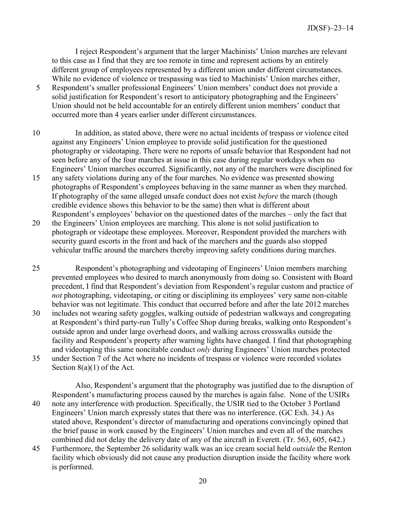I reject Respondent's argument that the larger Machinists' Union marches are relevant to this case as I find that they are too remote in time and represent actions by an entirely different group of employees represented by a different union under different circumstances. While no evidence of violence or trespassing was tied to Machinists' Union marches either,

- 5 Respondent's smaller professional Engineers' Union members' conduct does not provide a solid iustification for Respondent's resort to anticipatory photographing and the Engineers' Union should not be held accountable for an entirely different union members' conduct that occurred more than 4 years earlier under different circumstances.
- 10 In addition, as stated above, there were no actual incidents of trespass or violence cited against any Engineers' Union employee to provide solid justification for the questioned photography or videotaping. There were no reports of unsafe behavior that Respondent had not seen before any of the four marches at issue in this case during regular workdays when no Engineers' Union marches occurred. Significantly, not any of the marchers were disciplined for
- 15 any safety violations during any of the four marches. No evidence was presented showing photographs of Respondent's employees behaving in the same manner as when they marched. If photography of the same alleged unsafe conduct does not exist *before* the march (though credible evidence shows this behavior to be the same) then what is different about Respondent's employees' behavior on the questioned dates of the marches – only the fact that
- 20 the Engineers' Union employees are marching. This alone is not solid justification to photograph or videotape these employees. Moreover, Respondent provided the marchers with security guard escorts in the front and back of the marchers and the guards also stopped vehicular traffic around the marchers thereby improving safety conditions during marches.
- 25 Respondent's photographing and videotaping of Engineers' Union members marching prevented employees who desired to march anonymously from doing so. Consistent with Board precedent, I find that Respondent's deviation from Respondent's regular custom and practice of *not* photographing, videotaping, or citing or disciplining its employees' very same non-citable behavior was not legitimate. This conduct that occurred before and after the late 2012 marches 30 includes not wearing safety goggles, walking outside of pedestrian walkways and congregating at Respondent's third party-run Tully's Coffee Shop during breaks, walking onto Respondent's outside apron and under large overhead doors, and walking across crosswalks outside the facility and Respondent's property after warning lights have changed. I find that photographing and videotaping this same noncitable conduct *only* during Engineers' Union marches protected 35 under Section 7 of the Act where no incidents of trespass or violence were recorded violates Section 8(a)(1) of the Act.

Also, Respondent's argument that the photography was justified due to the disruption of Respondent's manufacturing process caused by the marches is again false. None of the USIRs 40 note any interference with production. Specifically, the USIR tied to the October 3 Portland Engineers' Union march expressly states that there was no interference. (GC Exh. 34.) As stated above, Respondent's director of manufacturing and operations convincingly opined that the brief pause in work caused by the Engineers' Union marches and even all of the marches combined did not delay the delivery date of any of the aircraft in Everett. (Tr. 563, 605, 642.)

45 Furthermore, the September 26 solidarity walk was an ice cream social held *outside* the Renton facility which obviously did not cause any production disruption inside the facility where work is performed.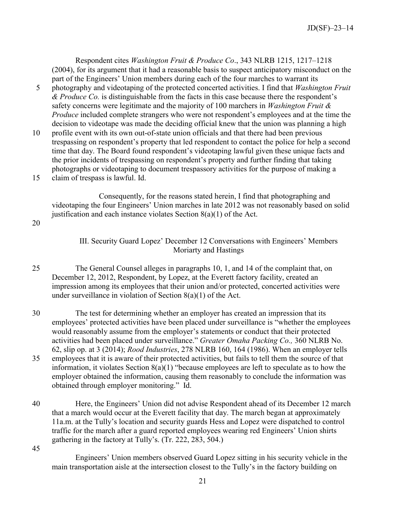Respondent cites *Washington Fruit & Produce Co*., 343 NLRB 1215, 1217–1218 (2004), for its argument that it had a reasonable basis to suspect anticipatory misconduct on the part of the Engineers' Union members during each of the four marches to warrant its

- 5 photography and videotaping of the protected concerted activities. I find that *Washington Fruit & Produce Co.* is distinguishable from the facts in this case because there the respondent's safety concerns were legitimate and the majority of 100 marchers in *Washington Fruit & Produce* included complete strangers who were not respondent's employees and at the time the decision to videotape was made the deciding official knew that the union was planning a high
- 10 profile event with its own out-of-state union officials and that there had been previous trespassing on respondent's property that led respondent to contact the police for help a second time that day. The Board found respondent's videotaping lawful given these unique facts and the prior incidents of trespassing on respondent's property and further finding that taking photographs or videotaping to document trespassory activities for the purpose of making a 15 claim of trespass is lawful. Id.
	- Consequently, for the reasons stated herein, I find that photographing and videotaping the four Engineers' Union marches in late 2012 was not reasonably based on solid justification and each instance violates Section  $8(a)(1)$  of the Act.

20

## III. Security Guard Lopez' December 12 Conversations with Engineers' Members Moriarty and Hastings

- 25 The General Counsel alleges in paragraphs 10, 1, and 14 of the complaint that, on December 12, 2012, Respondent, by Lopez, at the Everett factory facility, created an impression among its employees that their union and/or protected, concerted activities were under surveillance in violation of Section 8(a)(1) of the Act.
- 30 The test for determining whether an employer has created an impression that its employees' protected activities have been placed under surveillance is "whether the employees would reasonably assume from the employer's statements or conduct that their protected activities had been placed under surveillance." *Greater Omaha Packing Co.,* 360 NLRB No. 62, slip op. at 3 (2014); *Rood Industries*, 278 NLRB 160, 164 (1986). When an employer tells 35 employees that it is aware of their protected activities, but fails to tell them the source of that information, it violates Section 8(a)(1) "because employees are left to speculate as to how the employer obtained the information, causing them reasonably to conclude the information was obtained through employer monitoring." Id.
- 40 Here, the Engineers' Union did not advise Respondent ahead of its December 12 march that a march would occur at the Everett facility that day. The march began at approximately 11a.m. at the Tully's location and security guards Hess and Lopez were dispatched to control traffic for the march after a guard reported employees wearing red Engineers' Union shirts gathering in the factory at Tully's. (Tr. 222, 283, 504.)

45

Engineers' Union members observed Guard Lopez sitting in his security vehicle in the main transportation aisle at the intersection closest to the Tully's in the factory building on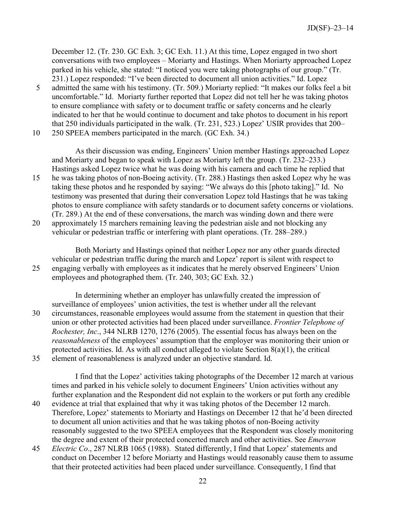December 12. (Tr. 230. GC Exh. 3; GC Exh. 11.) At this time, Lopez engaged in two short conversations with two employees – Moriarty and Hastings. When Moriarty approached Lopez parked in his vehicle, she stated: "I noticed you were taking photographs of our group." (Tr. 231.) Lopez responded: "I've been directed to document all union activities." Id. Lopez

- 5 admitted the same with his testimony. (Tr. 509.) Moriarty replied: "It makes our folks feel a bit uncomfortable." Id. Moriarty further reported that Lopez did not tell her he was taking photos to ensure compliance with safety or to document traffic or safety concerns and he clearly indicated to her that he would continue to document and take photos to document in his report that 250 individuals participated in the walk. (Tr. 231, 523.) Lopez' USIR provides that 200–
- 10 250 SPEEA members participated in the march. (GC Exh. 34.)

As their discussion was ending, Engineers' Union member Hastings approached Lopez and Moriarty and began to speak with Lopez as Moriarty left the group. (Tr. 232–233.) Hastings asked Lopez twice what he was doing with his camera and each time he replied that

15 he was taking photos of non-Boeing activity. (Tr. 288.) Hastings then asked Lopez why he was taking these photos and he responded by saying: "We always do this [photo taking]." Id. No testimony was presented that during their conversation Lopez told Hastings that he was taking photos to ensure compliance with safety standards or to document safety concerns or violations. (Tr. 289.) At the end of these conversations, the march was winding down and there were 20 approximately 15 marchers remaining leaving the pedestrian aisle and not blocking any

vehicular or pedestrian traffic or interfering with plant operations. (Tr. 288–289.)

Both Moriarty and Hastings opined that neither Lopez nor any other guards directed vehicular or pedestrian traffic during the march and Lopez' report is silent with respect to 25 engaging verbally with employees as it indicates that he merely observed Engineers' Union employees and photographed them. (Tr. 240, 303; GC Exh. 32.)

In determining whether an employer has unlawfully created the impression of surveillance of employees' union activities, the test is whether under all the relevant 30 circumstances, reasonable employees would assume from the statement in question that their union or other protected activities had been placed under surveillance. *Frontier Telephone of Rochester, Inc*., 344 NLRB 1270, 1276 (2005). The essential focus has always been on the *reasonableness* of the employees' assumption that the employer was monitoring their union or protected activities. Id. As with all conduct alleged to violate Section 8(a)(1), the critical 35 element of reasonableness is analyzed under an objective standard. Id.

I find that the Lopez' activities taking photographs of the December 12 march at various times and parked in his vehicle solely to document Engineers' Union activities without any further explanation and the Respondent did not explain to the workers or put forth any credible

- 40 evidence at trial that explained that why it was taking photos of the December 12 march. Therefore, Lopez' statements to Moriarty and Hastings on December 12 that he'd been directed to document all union activities and that he was taking photos of non-Boeing activity reasonably suggested to the two SPEEA employees that the Respondent was closely monitoring the degree and extent of their protected concerted march and other activities. See *Emerson*
- 45 *Electric Co*., 287 NLRB 1065 (1988). Stated differently, I find that Lopez' statements and conduct on December 12 before Moriarty and Hastings would reasonably cause them to assume that their protected activities had been placed under surveillance. Consequently, I find that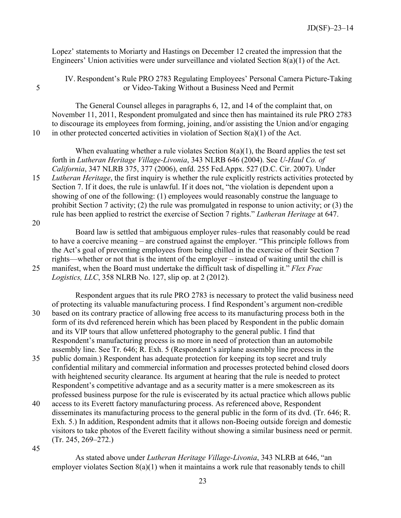Lopez' statements to Moriarty and Hastings on December 12 created the impression that the Engineers' Union activities were under surveillance and violated Section 8(a)(1) of the Act.

IV. Respondent's Rule PRO 2783 Regulating Employees' Personal Camera Picture-Taking 5 or Video-Taking Without a Business Need and Permit

The General Counsel alleges in paragraphs 6, 12, and 14 of the complaint that, on November 11, 2011, Respondent promulgated and since then has maintained its rule PRO 2783 to discourage its employees from forming, joining, and/or assisting the Union and/or engaging 10 in other protected concerted activities in violation of Section 8(a)(1) of the Act.

When evaluating whether a rule violates Section  $8(a)(1)$ , the Board applies the test set forth in *Lutheran Heritage Village-Livonia*, 343 NLRB 646 (2004). See *U-Haul Co. of California*, 347 NLRB 375, 377 (2006), enfd. 255 Fed.Appx. 527 (D.C. Cir. 2007). Under 15 *Lutheran Heritage*, the first inquiry is whether the rule explicitly restricts activities protected by

Section 7. If it does, the rule is unlawful. If it does not, "the violation is dependent upon a showing of one of the following: (1) employees would reasonably construe the language to prohibit Section 7 activity; (2) the rule was promulgated in response to union activity; or (3) the rule has been applied to restrict the exercise of Section 7 rights." *Lutheran Heritage* at 647.

20

Board law is settled that ambiguous employer rules–rules that reasonably could be read to have a coercive meaning – are construed against the employer. "This principle follows from the Act's goal of preventing employees from being chilled in the exercise of their Section 7 rights—whether or not that is the intent of the employer – instead of waiting until the chill is 25 manifest, when the Board must undertake the difficult task of dispelling it." *Flex Frac Logistics, LLC*, 358 NLRB No. 127, slip op. at 2 (2012).

Respondent argues that its rule PRO 2783 is necessary to protect the valid business need of protecting its valuable manufacturing process. I find Respondent's argument non-credible 30 based on its contrary practice of allowing free access to its manufacturing process both in the form of its dvd referenced herein which has been placed by Respondent in the public domain and its VIP tours that allow unfettered photography to the general public. I find that Respondent's manufacturing process is no more in need of protection than an automobile assembly line. See Tr. 646; R. Exh. 5 (Respondent's airplane assembly line process in the

- 35 public domain.) Respondent has adequate protection for keeping its top secret and truly confidential military and commercial information and processes protected behind closed doors with heightened security clearance. Its argument at hearing that the rule is needed to protect Respondent's competitive advantage and as a security matter is a mere smokescreen as its professed business purpose for the rule is eviscerated by its actual practice which allows public
- 40 access to its Everett factory manufacturing process. As referenced above, Respondent disseminates its manufacturing process to the general public in the form of its dvd. (Tr. 646; R. Exh. 5.) In addition, Respondent admits that it allows non-Boeing outside foreign and domestic visitors to take photos of the Everett facility without showing a similar business need or permit. (Tr. 245, 269–272.)

45

As stated above under *Lutheran Heritage Village-Livonia*, 343 NLRB at 646, "an employer violates Section 8(a)(1) when it maintains a work rule that reasonably tends to chill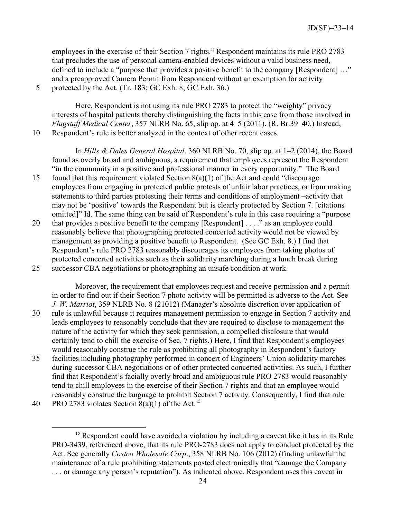employees in the exercise of their Section 7 rights." Respondent maintains its rule PRO 2783 that precludes the use of personal camera-enabled devices without a valid business need, defined to include a "purpose that provides a positive benefit to the company [Respondent] ..." and a preapproved Camera Permit from Respondent without an exemption for activity 5 protected by the Act. (Tr. 183; GC Exh. 8; GC Exh. 36.)

Here, Respondent is not using its rule PRO 2783 to protect the "weighty" privacy interests of hospital patients thereby distinguishing the facts in this case from those involved in *Flagstaff Medical Center*, 357 NLRB No. 65, slip op. at 4–5 (2011). (R. Br.39–40.) Instead, 10 Respondent's rule is better analyzed in the context of other recent cases.

In *Hills & Dales General Hospital*, 360 NLRB No. 70, slip op. at 1–2 (2014), the Board found as overly broad and ambiguous, a requirement that employees represent the Respondent "in the community in a positive and professional manner in every opportunity." The Board

- 15 found that this requirement violated Section 8(a)(1) of the Act and could "discourage employees from engaging in protected public protests of unfair labor practices, or from making statements to third parties protesting their terms and conditions of employment –activity that may not be 'positive' towards the Respondent but is clearly protected by Section 7. [citations omitted]" Id. The same thing can be said of Respondent's rule in this case requiring a "purpose
- 20 that provides a positive benefit to the company [Respondent] . . . ." as an employee could reasonably believe that photographing protected concerted activity would not be viewed by management as providing a positive benefit to Respondent. (See GC Exh. 8.) I find that Respondent's rule PRO 2783 reasonably discourages its employees from taking photos of protected concerted activities such as their solidarity marching during a lunch break during 25 successor CBA negotiations or photographing an unsafe condition at work.

Moreover, the requirement that employees request and receive permission and a permit in order to find out if their Section 7 photo activity will be permitted is adverse to the Act. See *J. W. Marriot*, 359 NLRB No. 8 (21012) (Manager's absolute discretion over application of 30 rule is unlawful because it requires management permission to engage in Section 7 activity and leads employees to reasonably conclude that they are required to disclose to management the nature of the activity for which they seek permission, a compelled disclosure that would certainly tend to chill the exercise of Sec. 7 rights.) Here, I find that Respondent's employees

would reasonably construe the rule as prohibiting all photography in Respondent's factory 35 facilities including photography performed in concert of Engineers' Union solidarity marches during successor CBA negotiations or of other protected concerted activities. As such, I further find that Respondent's facially overly broad and ambiguous rule PRO 2783 would reasonably tend to chill employees in the exercise of their Section 7 rights and that an employee would reasonably construe the language to prohibit Section 7 activity. Consequently, I find that rule

<span id="page-23-0"></span><sup>40</sup> PRO 2783 violates Section  $8(a)(1)$  of the Act.<sup>[15](#page-23-0)</sup>

 $\overline{a}$ <sup>15</sup> Respondent could have avoided a violation by including a caveat like it has in its Rule PRO-3439, referenced above, that its rule PRO-2783 does not apply to conduct protected by the Act. See generally *Costco Wholesale Corp*., 358 NLRB No. 106 (2012) (finding unlawful the maintenance of a rule prohibiting statements posted electronically that "damage the Company . . . or damage any person's reputation"). As indicated above, Respondent uses this caveat in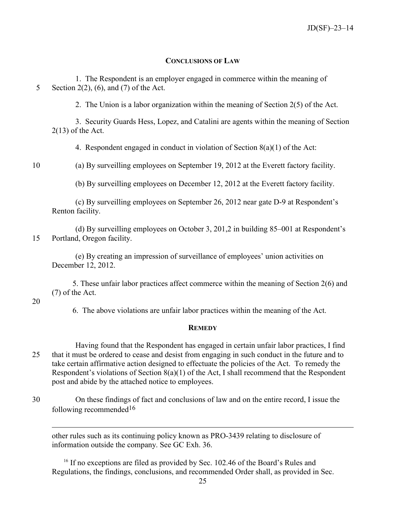#### **CONCLUSIONS OF LAW**

1. The Respondent is an employer engaged in commerce within the meaning of 5 Section 2(2), (6), and (7) of the Act.

2. The Union is a labor organization within the meaning of Section 2(5) of the Act.

3. Security Guards Hess, Lopez, and Catalini are agents within the meaning of Section  $2(13)$  of the Act.

4. Respondent engaged in conduct in violation of Section 8(a)(1) of the Act:

10 (a) By surveilling employees on September 19, 2012 at the Everett factory facility.

(b) By surveilling employees on December 12, 2012 at the Everett factory facility.

(c) By surveilling employees on September 26, 2012 near gate D-9 at Respondent's Renton facility.

(d) By surveilling employees on October 3, 201,2 in building 85–001 at Respondent's 15 Portland, Oregon facility.

(e) By creating an impression of surveillance of employees' union activities on December 12, 2012.

5. These unfair labor practices affect commerce within the meaning of Section 2(6) and (7) of the Act.

#### 20

 $\overline{a}$ 

6. The above violations are unfair labor practices within the meaning of the Act.

### **REMEDY**

Having found that the Respondent has engaged in certain unfair labor practices, I find 25 that it must be ordered to cease and desist from engaging in such conduct in the future and to take certain affirmative action designed to effectuate the policies of the Act. To remedy the Respondent's violations of Section 8(a)(1) of the Act, I shall recommend that the Respondent post and abide by the attached notice to employees.

30 On these findings of fact and conclusions of law and on the entire record, I issue the following recommended[16](#page-24-0)

other rules such as its continuing policy known as PRO-3439 relating to disclosure of information outside the company. See GC Exh. 36.

<span id="page-24-0"></span><sup>16</sup> If no exceptions are filed as provided by Sec. 102.46 of the Board's Rules and Regulations, the findings, conclusions, and recommended Order shall, as provided in Sec.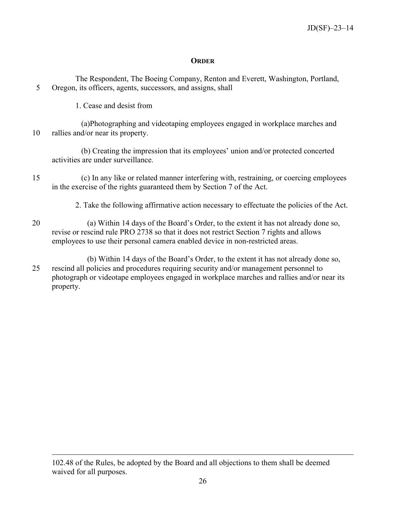### **ORDER**

The Respondent, The Boeing Company, Renton and Everett, Washington, Portland, 5 Oregon, its officers, agents, successors, and assigns, shall

1. Cease and desist from

 $\overline{a}$ 

(a)Photographing and videotaping employees engaged in workplace marches and 10 rallies and/or near its property.

(b) Creating the impression that its employees' union and/or protected concerted activities are under surveillance.

- 15 (c) In any like or related manner interfering with, restraining, or coercing employees in the exercise of the rights guaranteed them by Section 7 of the Act.
	- 2. Take the following affirmative action necessary to effectuate the policies of the Act.
- 20 (a) Within 14 days of the Board's Order, to the extent it has not already done so, revise or rescind rule PRO 2738 so that it does not restrict Section 7 rights and allows employees to use their personal camera enabled device in non-restricted areas.
- (b) Within 14 days of the Board's Order, to the extent it has not already done so, 25 rescind all policies and procedures requiring security and/or management personnel to photograph or videotape employees engaged in workplace marches and rallies and/or near its property.

<sup>102.48</sup> of the Rules, be adopted by the Board and all objections to them shall be deemed waived for all purposes.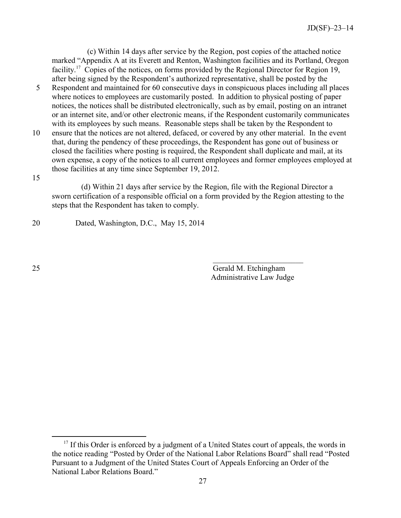(c) Within 14 days after service by the Region, post copies of the attached notice marked "Appendix A at its Everett and Renton, Washington facilities and its Portland, Oregon facility.<sup>[17](#page-26-0)</sup> Copies of the notices, on forms provided by the Regional Director for Region 19, after being signed by the Respondent's authorized representative, shall be posted by the

- 5 Respondent and maintained for 60 consecutive days in conspicuous places including all places where notices to employees are customarily posted. In addition to physical posting of paper notices, the notices shall be distributed electronically, such as by email, posting on an intranet or an internet site, and/or other electronic means, if the Respondent customarily communicates with its employees by such means. Reasonable steps shall be taken by the Respondent to
- 10 ensure that the notices are not altered, defaced, or covered by any other material. In the event that, during the pendency of these proceedings, the Respondent has gone out of business or closed the facilities where posting is required, the Respondent shall duplicate and mail, at its own expense, a copy of the notices to all current employees and former employees employed at those facilities at any time since September 19, 2012.

15

 $\overline{a}$ 

(d) Within 21 days after service by the Region, file with the Regional Director a sworn certification of a responsible official on a form provided by the Region attesting to the steps that the Respondent has taken to comply.

 $\mathcal{L}_\text{max}$  and  $\mathcal{L}_\text{max}$  and  $\mathcal{L}_\text{max}$  and  $\mathcal{L}_\text{max}$  and  $\mathcal{L}_\text{max}$ 

20 Dated, Washington, D.C., May 15, 2014

25 Gerald M. Etchingham Administrative Law Judge

<span id="page-26-0"></span><sup>&</sup>lt;sup>17</sup> If this Order is enforced by a judgment of a United States court of appeals, the words in the notice reading "Posted by Order of the National Labor Relations Board" shall read "Posted Pursuant to a Judgment of the United States Court of Appeals Enforcing an Order of the National Labor Relations Board."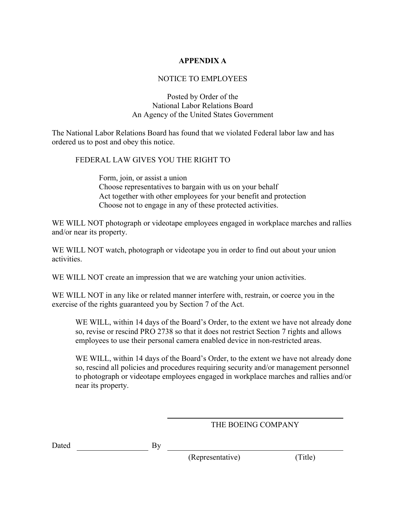# **APPENDIX A**

# NOTICE TO EMPLOYEES

## Posted by Order of the National Labor Relations Board An Agency of the United States Government

The National Labor Relations Board has found that we violated Federal labor law and has ordered us to post and obey this notice.

## FEDERAL LAW GIVES YOU THE RIGHT TO

Form, join, or assist a union Choose representatives to bargain with us on your behalf Act together with other employees for your benefit and protection Choose not to engage in any of these protected activities.

WE WILL NOT photograph or videotape employees engaged in workplace marches and rallies and/or near its property.

WE WILL NOT watch, photograph or videotape you in order to find out about your union activities.

WE WILL NOT create an impression that we are watching your union activities.

WE WILL NOT in any like or related manner interfere with, restrain, or coerce you in the exercise of the rights guaranteed you by Section 7 of the Act.

WE WILL, within 14 days of the Board's Order, to the extent we have not already done so, revise or rescind PRO 2738 so that it does not restrict Section 7 rights and allows employees to use their personal camera enabled device in non-restricted areas.

WE WILL, within 14 days of the Board's Order, to the extent we have not already done so, rescind all policies and procedures requiring security and/or management personnel to photograph or videotape employees engaged in workplace marches and rallies and/or near its property.

# THE BOEING COMPANY

| Dated | Bv |
|-------|----|
|       |    |

(Representative) (Title)